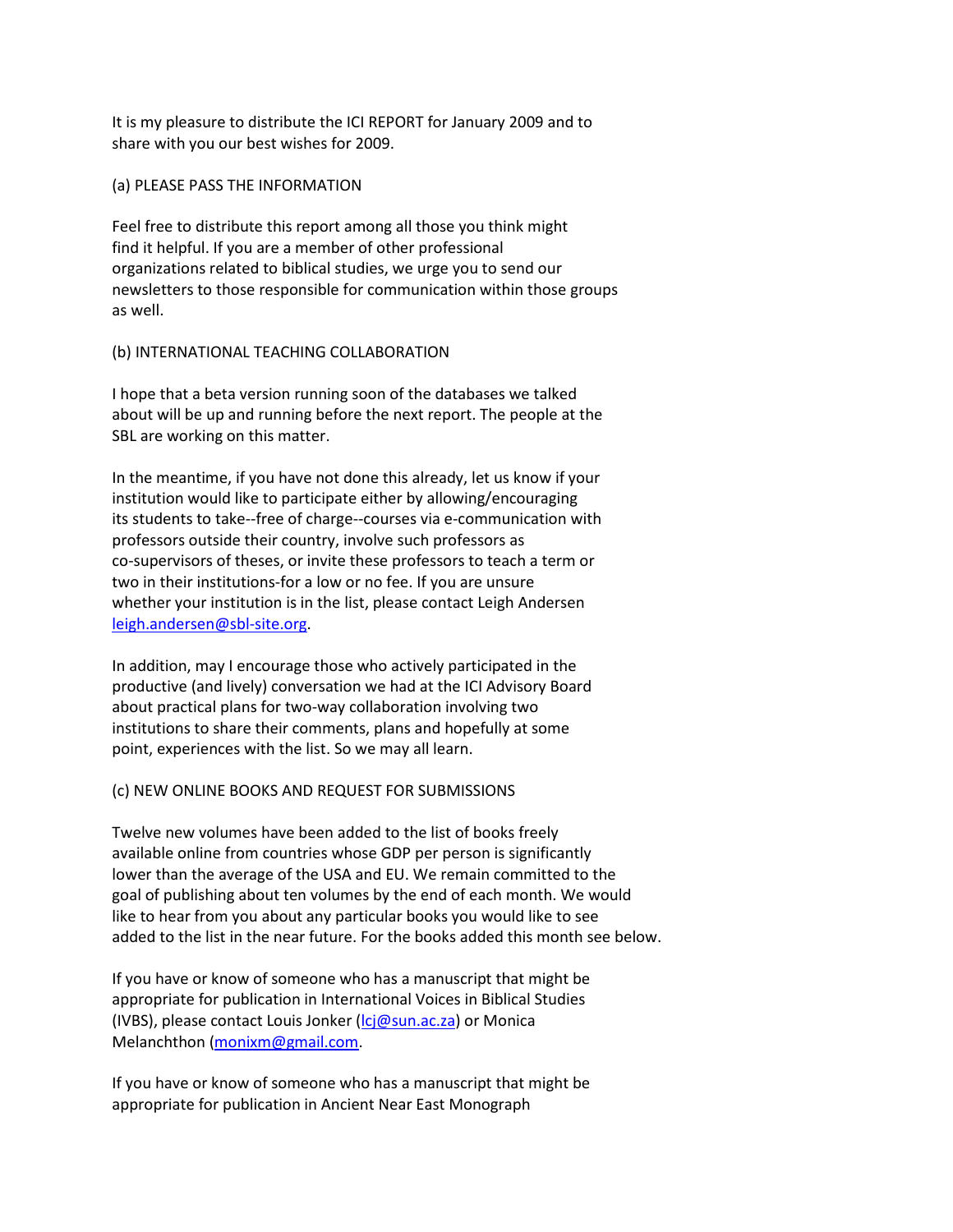It is my pleasure to distribute the ICI REPORT for January 2009 and to share with you our best wishes for 2009.

## (a) PLEASE PASS THE INFORMATION

Feel free to distribute this report among all those you think might find it helpful. If you are a member of other professional organizations related to biblical studies, we urge you to send our newsletters to those responsible for communication within those groups as well.

# (b) INTERNATIONAL TEACHING COLLABORATION

I hope that a beta version running soon of the databases we talked about will be up and running before the next report. The people at the SBL are working on this matter.

In the meantime, if you have not done this already, let us know if your institution would like to participate either by allowing/encouraging its students to take--free of charge--courses via e-communication with professors outside their country, involve such professors as co-supervisors of theses, or invite these professors to teach a term or two in their institutions-for a low or no fee. If you are unsure whether your institution is in the list, please contact Leigh Andersen [leigh.andersen@sbl-site.org.](mailto:leigh.andersen@sbl-site.org)

In addition, may I encourage those who actively participated in the productive (and lively) conversation we had at the ICI Advisory Board about practical plans for two-way collaboration involving two institutions to share their comments, plans and hopefully at some point, experiences with the list. So we may all learn.

# (c) NEW ONLINE BOOKS AND REQUEST FOR SUBMISSIONS

Twelve new volumes have been added to the list of books freely available online from countries whose GDP per person is significantly lower than the average of the USA and EU. We remain committed to the goal of publishing about ten volumes by the end of each month. We would like to hear from you about any particular books you would like to see added to the list in the near future. For the books added this month see below.

If you have or know of someone who has a manuscript that might be appropriate for publication in International Voices in Biblical Studies (IVBS), please contact Louis Jonker ( $\text{lcj@sun.ac.za}$ ) or Monica Melanchthon [\(monixm@gmail.com.](mailto:monixm@gmail.com)

If you have or know of someone who has a manuscript that might be appropriate for publication in Ancient Near East Monograph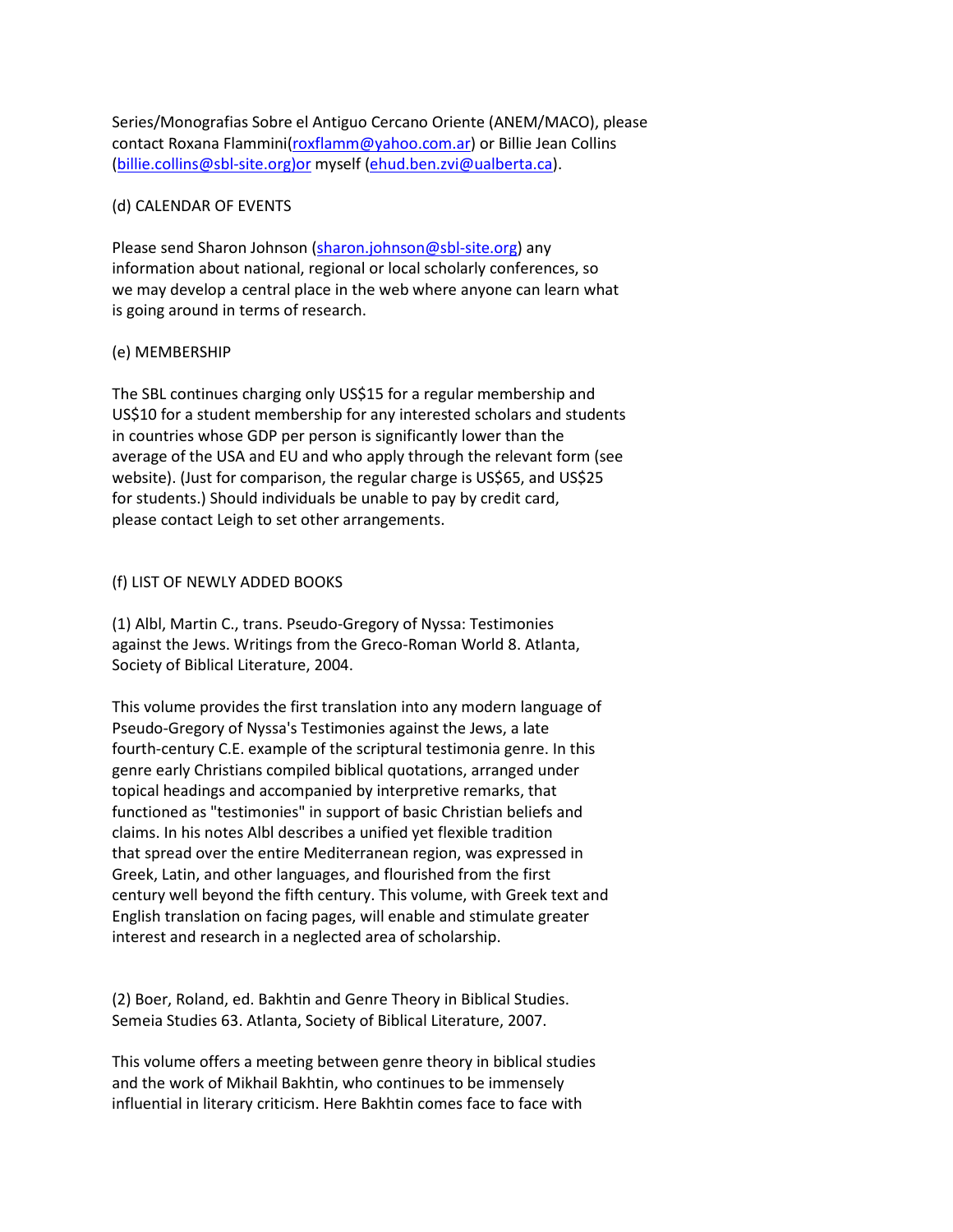Series/Monografias Sobre el Antiguo Cercano Oriente (ANEM/MACO), please contact Roxana Flammini[\(roxflamm@yahoo.com.ar\)](mailto:roxflamm@yahoo.com.ar) or Billie Jean Collins [\(billie.collins@sbl-site.org\)or](mailto:billie.collins@sbl-site.org)or) myself [\(ehud.ben.zvi@ualberta.ca\)](mailto:ehud.ben.zvi@ualberta.ca).

## (d) CALENDAR OF EVENTS

Please send Sharon Johnson [\(sharon.johnson@sbl-site.org\)](mailto:sharon.johnson@sbl-site.org) any information about national, regional or local scholarly conferences, so we may develop a central place in the web where anyone can learn what is going around in terms of research.

## (e) MEMBERSHIP

The SBL continues charging only US\$15 for a regular membership and US\$10 for a student membership for any interested scholars and students in countries whose GDP per person is significantly lower than the average of the USA and EU and who apply through the relevant form (see website). (Just for comparison, the regular charge is US\$65, and US\$25 for students.) Should individuals be unable to pay by credit card, please contact Leigh to set other arrangements.

# (f) LIST OF NEWLY ADDED BOOKS

(1) Albl, Martin C., trans. Pseudo-Gregory of Nyssa: Testimonies against the Jews. Writings from the Greco-Roman World 8. Atlanta, Society of Biblical Literature, 2004.

This volume provides the first translation into any modern language of Pseudo-Gregory of Nyssa's Testimonies against the Jews, a late fourth-century C.E. example of the scriptural testimonia genre. In this genre early Christians compiled biblical quotations, arranged under topical headings and accompanied by interpretive remarks, that functioned as "testimonies" in support of basic Christian beliefs and claims. In his notes Albl describes a unified yet flexible tradition that spread over the entire Mediterranean region, was expressed in Greek, Latin, and other languages, and flourished from the first century well beyond the fifth century. This volume, with Greek text and English translation on facing pages, will enable and stimulate greater interest and research in a neglected area of scholarship.

(2) Boer, Roland, ed. Bakhtin and Genre Theory in Biblical Studies. Semeia Studies 63. Atlanta, Society of Biblical Literature, 2007.

This volume offers a meeting between genre theory in biblical studies and the work of Mikhail Bakhtin, who continues to be immensely influential in literary criticism. Here Bakhtin comes face to face with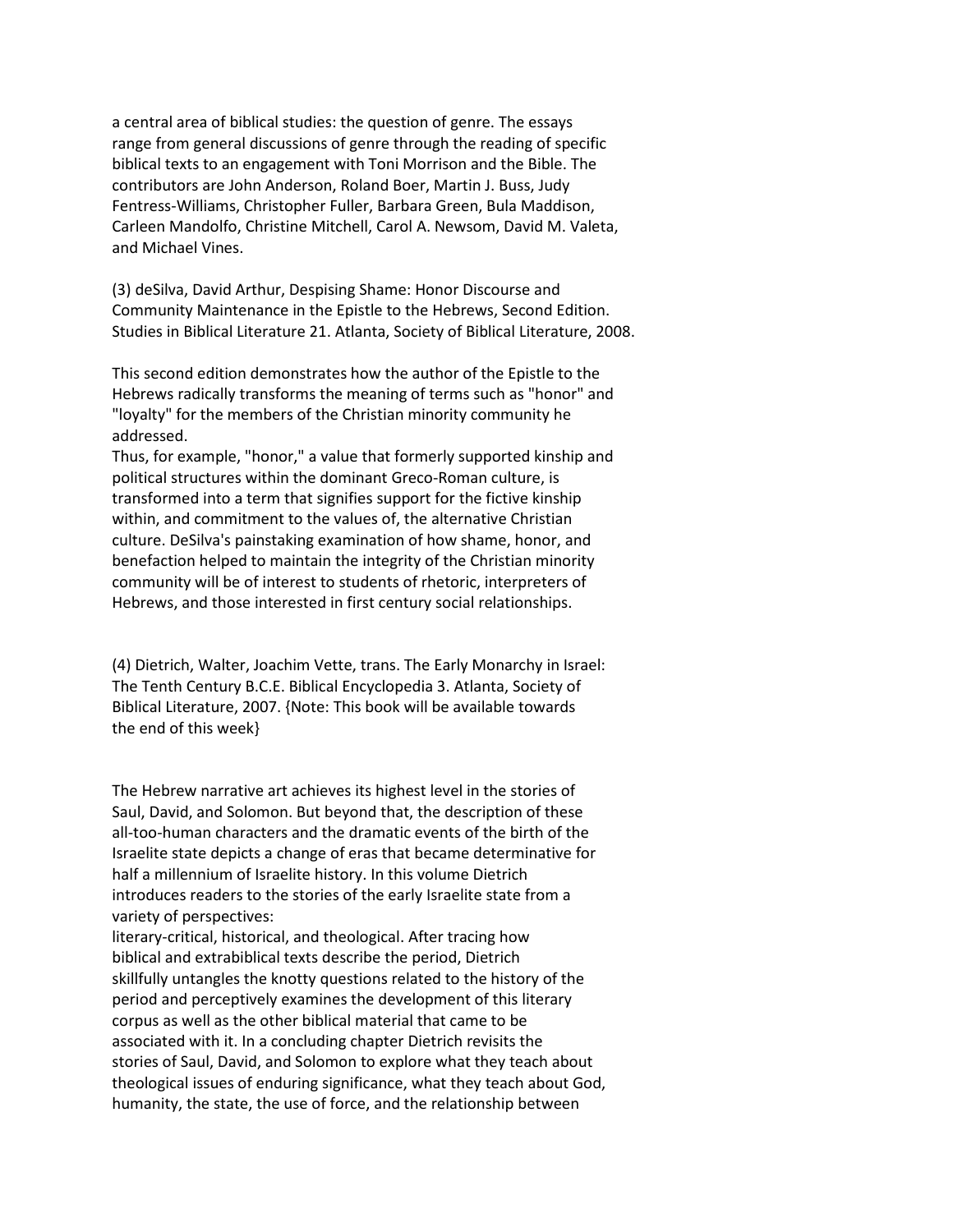a central area of biblical studies: the question of genre. The essays range from general discussions of genre through the reading of specific biblical texts to an engagement with Toni Morrison and the Bible. The contributors are John Anderson, Roland Boer, Martin J. Buss, Judy Fentress-Williams, Christopher Fuller, Barbara Green, Bula Maddison, Carleen Mandolfo, Christine Mitchell, Carol A. Newsom, David M. Valeta, and Michael Vines.

(3) deSilva, David Arthur, Despising Shame: Honor Discourse and Community Maintenance in the Epistle to the Hebrews, Second Edition. Studies in Biblical Literature 21. Atlanta, Society of Biblical Literature, 2008.

This second edition demonstrates how the author of the Epistle to the Hebrews radically transforms the meaning of terms such as "honor" and "loyalty" for the members of the Christian minority community he addressed.

Thus, for example, "honor," a value that formerly supported kinship and political structures within the dominant Greco-Roman culture, is transformed into a term that signifies support for the fictive kinship within, and commitment to the values of, the alternative Christian culture. DeSilva's painstaking examination of how shame, honor, and benefaction helped to maintain the integrity of the Christian minority community will be of interest to students of rhetoric, interpreters of Hebrews, and those interested in first century social relationships.

(4) Dietrich, Walter, Joachim Vette, trans. The Early Monarchy in Israel: The Tenth Century B.C.E. Biblical Encyclopedia 3. Atlanta, Society of Biblical Literature, 2007. {Note: This book will be available towards the end of this week}

The Hebrew narrative art achieves its highest level in the stories of Saul, David, and Solomon. But beyond that, the description of these all-too-human characters and the dramatic events of the birth of the Israelite state depicts a change of eras that became determinative for half a millennium of Israelite history. In this volume Dietrich introduces readers to the stories of the early Israelite state from a variety of perspectives:

literary-critical, historical, and theological. After tracing how biblical and extrabiblical texts describe the period, Dietrich skillfully untangles the knotty questions related to the history of the period and perceptively examines the development of this literary corpus as well as the other biblical material that came to be associated with it. In a concluding chapter Dietrich revisits the stories of Saul, David, and Solomon to explore what they teach about theological issues of enduring significance, what they teach about God, humanity, the state, the use of force, and the relationship between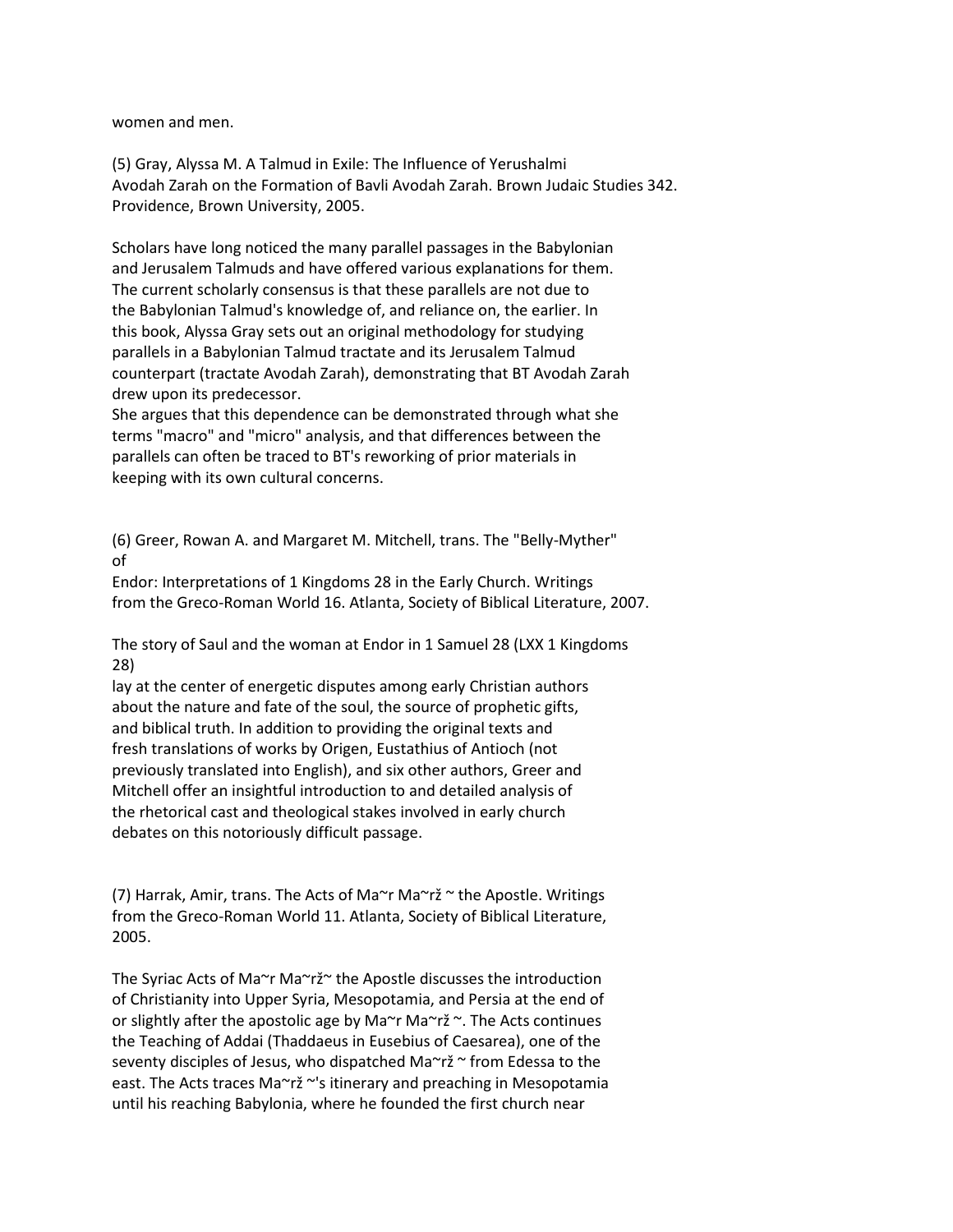women and men.

(5) Gray, Alyssa M. A Talmud in Exile: The Influence of Yerushalmi Avodah Zarah on the Formation of Bavli Avodah Zarah. Brown Judaic Studies 342. Providence, Brown University, 2005.

Scholars have long noticed the many parallel passages in the Babylonian and Jerusalem Talmuds and have offered various explanations for them. The current scholarly consensus is that these parallels are not due to the Babylonian Talmud's knowledge of, and reliance on, the earlier. In this book, Alyssa Gray sets out an original methodology for studying parallels in a Babylonian Talmud tractate and its Jerusalem Talmud counterpart (tractate Avodah Zarah), demonstrating that BT Avodah Zarah drew upon its predecessor.

She argues that this dependence can be demonstrated through what she terms "macro" and "micro" analysis, and that differences between the parallels can often be traced to BT's reworking of prior materials in keeping with its own cultural concerns.

(6) Greer, Rowan A. and Margaret M. Mitchell, trans. The "Belly-Myther" of

Endor: Interpretations of 1 Kingdoms 28 in the Early Church. Writings from the Greco-Roman World 16. Atlanta, Society of Biblical Literature, 2007.

The story of Saul and the woman at Endor in 1 Samuel 28 (LXX 1 Kingdoms 28)

lay at the center of energetic disputes among early Christian authors about the nature and fate of the soul, the source of prophetic gifts, and biblical truth. In addition to providing the original texts and fresh translations of works by Origen, Eustathius of Antioch (not previously translated into English), and six other authors, Greer and Mitchell offer an insightful introduction to and detailed analysis of the rhetorical cast and theological stakes involved in early church debates on this notoriously difficult passage.

(7) Harrak, Amir, trans. The Acts of Ma~r Ma~rž ~ the Apostle. Writings from the Greco-Roman World 11. Atlanta, Society of Biblical Literature, 2005.

The Syriac Acts of Ma~r Ma~rž~ the Apostle discusses the introduction of Christianity into Upper Syria, Mesopotamia, and Persia at the end of or slightly after the apostolic age by Ma $\sim$ r Ma $\sim$ rž  $\sim$ . The Acts continues the Teaching of Addai (Thaddaeus in Eusebius of Caesarea), one of the seventy disciples of Jesus, who dispatched Ma~rž ~ from Edessa to the east. The Acts traces Ma~rž ~'s itinerary and preaching in Mesopotamia until his reaching Babylonia, where he founded the first church near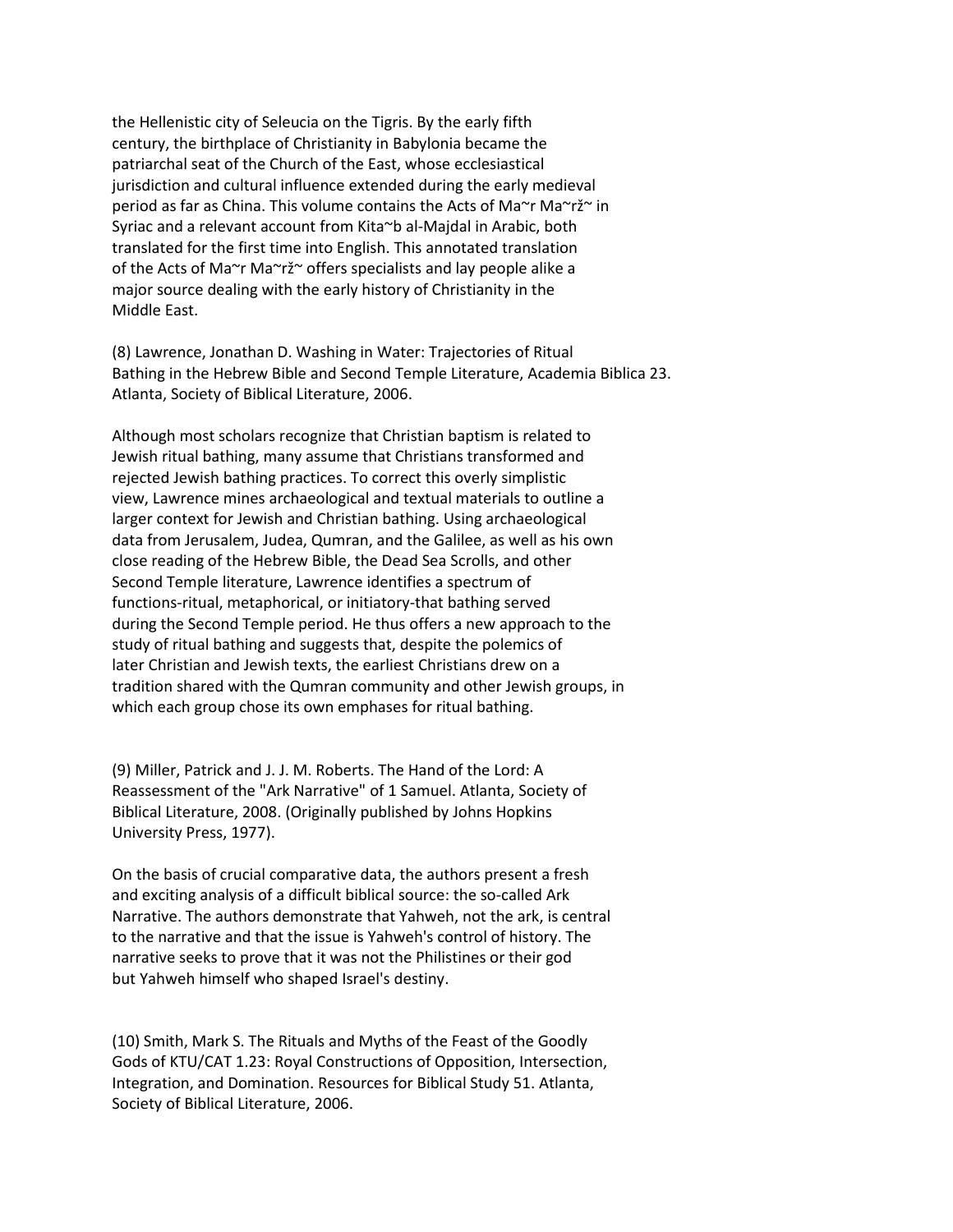the Hellenistic city of Seleucia on the Tigris. By the early fifth century, the birthplace of Christianity in Babylonia became the patriarchal seat of the Church of the East, whose ecclesiastical jurisdiction and cultural influence extended during the early medieval period as far as China. This volume contains the Acts of Ma~r Ma~rž~ in Syriac and a relevant account from Kita~b al-Majdal in Arabic, both translated for the first time into English. This annotated translation of the Acts of Ma~r Ma~rž~ offers specialists and lay people alike a major source dealing with the early history of Christianity in the Middle East.

(8) Lawrence, Jonathan D. Washing in Water: Trajectories of Ritual Bathing in the Hebrew Bible and Second Temple Literature, Academia Biblica 23. Atlanta, Society of Biblical Literature, 2006.

Although most scholars recognize that Christian baptism is related to Jewish ritual bathing, many assume that Christians transformed and rejected Jewish bathing practices. To correct this overly simplistic view, Lawrence mines archaeological and textual materials to outline a larger context for Jewish and Christian bathing. Using archaeological data from Jerusalem, Judea, Qumran, and the Galilee, as well as his own close reading of the Hebrew Bible, the Dead Sea Scrolls, and other Second Temple literature, Lawrence identifies a spectrum of functions-ritual, metaphorical, or initiatory-that bathing served during the Second Temple period. He thus offers a new approach to the study of ritual bathing and suggests that, despite the polemics of later Christian and Jewish texts, the earliest Christians drew on a tradition shared with the Qumran community and other Jewish groups, in which each group chose its own emphases for ritual bathing.

(9) Miller, Patrick and J. J. M. Roberts. The Hand of the Lord: A Reassessment of the "Ark Narrative" of 1 Samuel. Atlanta, Society of Biblical Literature, 2008. (Originally published by Johns Hopkins University Press, 1977).

On the basis of crucial comparative data, the authors present a fresh and exciting analysis of a difficult biblical source: the so-called Ark Narrative. The authors demonstrate that Yahweh, not the ark, is central to the narrative and that the issue is Yahweh's control of history. The narrative seeks to prove that it was not the Philistines or their god but Yahweh himself who shaped Israel's destiny.

(10) Smith, Mark S. The Rituals and Myths of the Feast of the Goodly Gods of KTU/CAT 1.23: Royal Constructions of Opposition, Intersection, Integration, and Domination. Resources for Biblical Study 51. Atlanta, Society of Biblical Literature, 2006.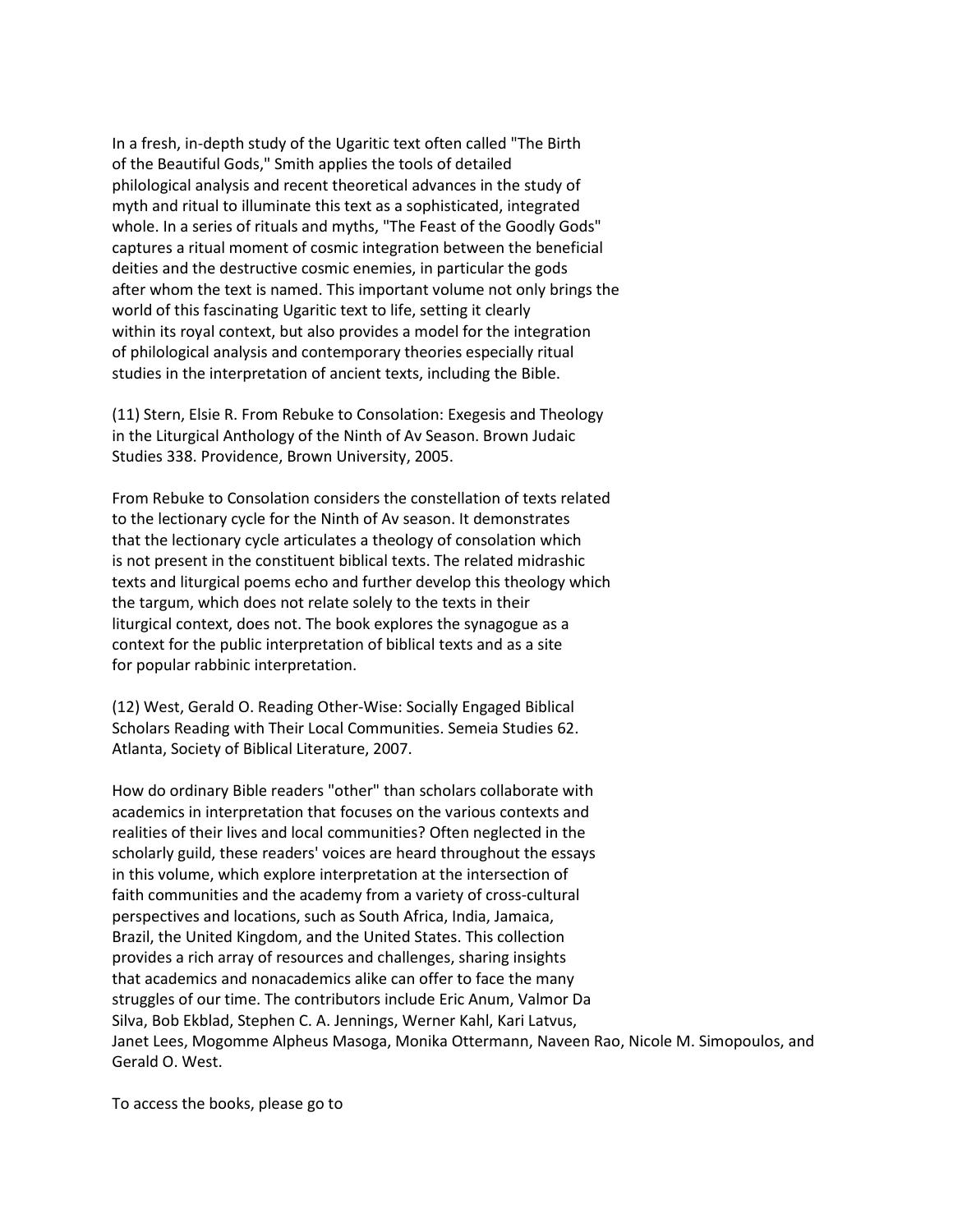In a fresh, in-depth study of the Ugaritic text often called "The Birth of the Beautiful Gods," Smith applies the tools of detailed philological analysis and recent theoretical advances in the study of myth and ritual to illuminate this text as a sophisticated, integrated whole. In a series of rituals and myths, "The Feast of the Goodly Gods" captures a ritual moment of cosmic integration between the beneficial deities and the destructive cosmic enemies, in particular the gods after whom the text is named. This important volume not only brings the world of this fascinating Ugaritic text to life, setting it clearly within its royal context, but also provides a model for the integration of philological analysis and contemporary theories especially ritual studies in the interpretation of ancient texts, including the Bible.

(11) Stern, Elsie R. From Rebuke to Consolation: Exegesis and Theology in the Liturgical Anthology of the Ninth of Av Season. Brown Judaic Studies 338. Providence, Brown University, 2005.

From Rebuke to Consolation considers the constellation of texts related to the lectionary cycle for the Ninth of Av season. It demonstrates that the lectionary cycle articulates a theology of consolation which is not present in the constituent biblical texts. The related midrashic texts and liturgical poems echo and further develop this theology which the targum, which does not relate solely to the texts in their liturgical context, does not. The book explores the synagogue as a context for the public interpretation of biblical texts and as a site for popular rabbinic interpretation.

(12) West, Gerald O. Reading Other-Wise: Socially Engaged Biblical Scholars Reading with Their Local Communities. Semeia Studies 62. Atlanta, Society of Biblical Literature, 2007.

How do ordinary Bible readers "other" than scholars collaborate with academics in interpretation that focuses on the various contexts and realities of their lives and local communities? Often neglected in the scholarly guild, these readers' voices are heard throughout the essays in this volume, which explore interpretation at the intersection of faith communities and the academy from a variety of cross-cultural perspectives and locations, such as South Africa, India, Jamaica, Brazil, the United Kingdom, and the United States. This collection provides a rich array of resources and challenges, sharing insights that academics and nonacademics alike can offer to face the many struggles of our time. The contributors include Eric Anum, Valmor Da Silva, Bob Ekblad, Stephen C. A. Jennings, Werner Kahl, Kari Latvus, Janet Lees, Mogomme Alpheus Masoga, Monika Ottermann, Naveen Rao, Nicole M. Simopoulos, and Gerald O. West.

To access the books, please go to